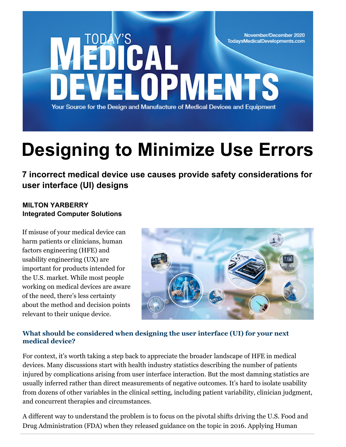

# **Designing to Minimize Use Errors**

**7 incorrect medical device use causes provide safety considerations for user interface (UI) designs**

#### **MILTON YARBERRY Integrated Computer Solutions**

If misuse of your medical device can harm patients or clinicians, human factors engineering (HFE) and usability engineering (UX) are important for products intended for the U.S. market. While most people working on medical devices are aware of the need, there's less certainty about the method and decision points relevant to their unique device.



#### **[What should be considered when designing the user interface](https://www.ics.com/) (UI) for your next medical device?**

For context, it's worth taking a step back to appreciate the broader landscape of HFE in medical devices. Many discussions start with health industry statistics describing the number of patients injured by complications arising from user interface interaction. But the most damning statistics are usually inferred rather than direct measurements of negative outcomes. It's hard to isolate usability [from](http://www.facebook.com/sharer.php?u=http%3A%2F%2Fmagazine.todaysmedicaldevelopments.com%2Farticle%2Fnovember-december-2020%2Fdesigning-minimize-use-errors.aspx) dozens of other variables in the clinical setting, including patient variability, clinician judgment, and concurrent therapies and circumstances.

A different way to understand the problem is to focus on the pivotal shifts driving the U.S. Food and Drug Administration (FDA) when they released guidance on the topic in 2016. Applying Human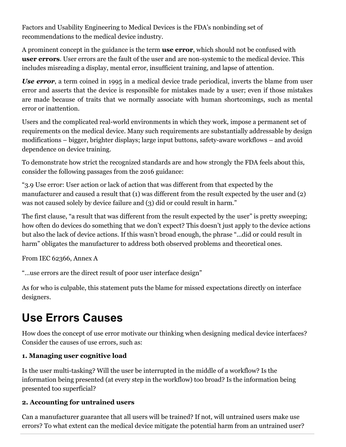Factors and Usability Engineering to Medical Devices is the FDA's nonbinding set of recommendations to the medical device industry.

A prominent concept in the guidance is the term **use error**, which should not be confused with **user errors**. User errors are the fault of the user and are non-systemic to the medical device. This includes misreading a display, mental error, insufficient training, and lapse of attention.

*Use error*, a term coined in 1995 in a medical device trade periodical, inverts the blame from user error and asserts that the device is responsible for mistakes made by a user; even if those mistakes are made because of traits that we normally associate with human shortcomings, such as mental error or inattention.

Users and the complicated real-world environments in which they work, impose a permanent set of requirements on the medical device. Many such requirements are substantially addressable by design modifications – bigger, brighter displays; large input buttons, safety-aware workflows – and avoid dependence on device training.

To demonstrate how strict the recognized standards are and how strongly the FDA feels about this, consider the following passages from the 2016 guidance:

"3.9 Use error: User action or lack of action that was different from that expected by the manufacturer and caused a result that (1) was different from the result expected by the user and (2) was not caused solely by device failure and (3) did or could result in harm."

The first clause, "a result that was different from the result expected by the user" is pretty sweeping; how often do devices do something that we don't expect? This doesn't just apply to the device actions but also the lack of device actions. If this wasn't broad enough, the phrase "...did or could result in harm" obligates the manufacturer to address both observed problems and theoretical ones.

From IEC 62366, Annex A

"…use errors are the direct result of poor user interface design"

As for who is culpable, this statement puts the blame for missed expectations directly on interface designers.

## **Use Errors Causes**

How does the concept of use error motivate our thinking when designing medical device interfaces? Consider the causes of use errors, such as:

### **1. Managing user cognitive load**

Is the user multi-tasking? Will the user be interrupted in the middle of a workflow? Is the information being presented (at every step in the workflow) too broad? Is the information being presented too superficial?

#### **2. Accounting for untrained users**

Can a manufacturer guarantee that all users will be trained? If not, will untrained users make use errors? To what extent can the medical device mitigate the potential harm from an untrained user?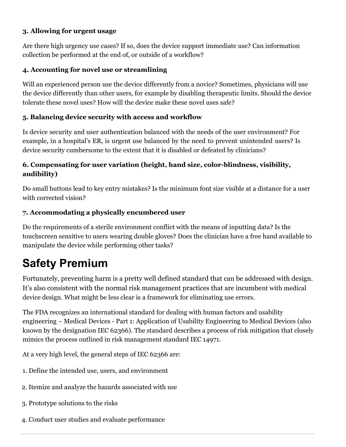#### **3. Allowing for urgent usage**

Are there high urgency use cases? If so, does the device support immediate use? Can information collection be performed at the end of, or outside of a workflow?

#### **4. Accounting for novel use or streamlining**

Will an experienced person use the device differently from a novice? Sometimes, physicians will use the device differently than other users, for example by disabling therapeutic limits. Should the device tolerate these novel uses? How will the device make these novel uses safe?

#### **5. Balancing device security with access and workflow**

Is device security and user authentication balanced with the needs of the user environment? For example, in a hospital's ER, is urgent use balanced by the need to prevent unintended users? Is device security cumbersome to the extent that it is disabled or defeated by clinicians?

#### **6. Compensating for user variation (height, hand size, color-blindness, visibility, audibility)**

Do small buttons lead to key entry mistakes? Is the minimum font size visible at a distance for a user with corrected vision?

#### **7. Accommodating a physically encumbered user**

Do the requirements of a sterile environment conflict with the means of inputting data? Is the touchscreen sensitive to users wearing double gloves? Does the clinician have a free hand available to manipulate the device while performing other tasks?

## **Safety Premium**

Fortunately, preventing harm is a pretty well defined standard that can be addressed with design. It's also consistent with the normal risk management practices that are incumbent with medical device design. What might be less clear is a framework for eliminating use errors.

The FDA recognizes an international standard for dealing with human factors and usability engineering – Medical Devices - Part 1: Application of Usability Engineering to Medical Devices (also known by the designation IEC 62366). The standard describes a process of risk mitigation that closely mimics the process outlined in risk management standard IEC 14971.

At a very high level, the general steps of IEC 62366 are:

- 1. Define the intended use, users, and environment
- 2. Itemize and analyze the hazards associated with use
- 3. Prototype solutions to the risks
- 4. Conduct user studies and evaluate performance